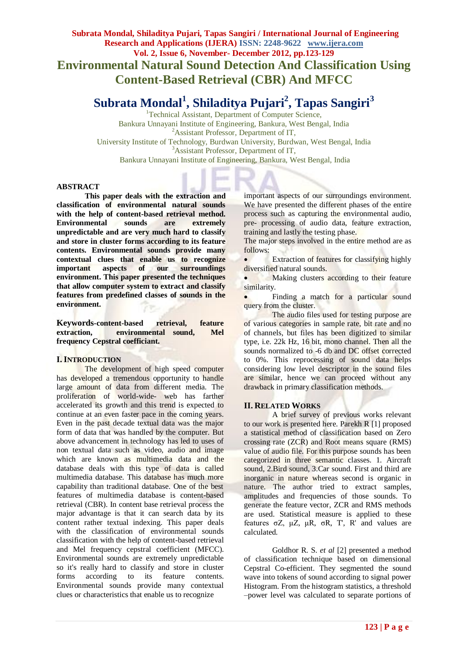**Subrata Mondal, Shiladitya Pujari, Tapas Sangiri / International Journal of Engineering Research and Applications (IJERA) ISSN: 2248-9622 www.ijera.com Vol. 2, Issue 6, November- December 2012, pp.123-129 Environmental Natural Sound Detection And Classification Using Content-Based Retrieval (CBR) And MFCC**

# **Subrata Mondal<sup>1</sup> , Shiladitya Pujari<sup>2</sup> , Tapas Sangiri<sup>3</sup>**

<sup>1</sup>Technical Assistant, Department of Computer Science, Bankura Unnayani Institute of Engineering, Bankura, West Bengal, India <sup>2</sup>Assistant Professor, Department of IT, University Institute of Technology, Burdwan University, Burdwan, West Bengal, India <sup>3</sup>Assistant Professor, Department of IT, Bankura Unnayani Institute of Engineering, Bankura, West Bengal, India

#### **ABSTRACT**

**This paper deals with the extraction and classification of environmental natural sounds with the help of content-based retrieval method. Environmental sounds are extremely unpredictable and are very much hard to classify and store in cluster forms according to its feature contents. Environmental sounds provide many contextual clues that enable us to recognize important aspects of our surroundings environment. This paper presented the techniques that allow computer system to extract and classify features from predefined classes of sounds in the environment.**

**Keywords***-***content-based retrieval, feature extraction, environmental sound, Mel frequency Cepstral coefficiant.**

#### **I.INTRODUCTION**

The development of high speed computer has developed a tremendous opportunity to handle large amount of data from different media. The proliferation of world-wide- web has farther accelerated its growth and this trend is expected to continue at an even faster pace in the coming years. Even in the past decade textual data was the major form of data that was handled by the computer. But above advancement in technology has led to uses of non textual data such as video, audio and image which are known as multimedia data and the database deals with this type of data is called multimedia database. This database has much more capability than traditional database. One of the best features of multimedia database is content-based retrieval (CBR). In content base retrieval process the major advantage is that it can search data by its content rather textual indexing. This paper deals with the classification of environmental sounds classification with the help of content-based retrieval and Mel frequency cepstral coefficient (MFCC). Environmental sounds are extremely unpredictable so it's really hard to classify and store in cluster forms according to its feature contents. Environmental sounds provide many contextual clues or characteristics that enable us to recognize

important aspects of our surroundings environment. We have presented the different phases of the entire process such as capturing the environmental audio, pre- processing of audio data, feature extraction, training and lastly the testing phase.

The major steps involved in the entire method are as follows:

 Extraction of features for classifying highly diversified natural sounds.

• Making clusters according to their feature similarity.

Finding a match for a particular sound query from the cluster.

The audio files used for testing purpose are of various categories in sample rate, bit rate and no of channels, but files has been digitized to similar type, i.e. 22k Hz, 16 bit, mono channel. Then all the sounds normalized to -6 db and DC offset corrected to 0%. This reprocessing of sound data helps considering low level descriptor in the sound files are similar, hence we can proceed without any drawback in primary classification methods.

# **II. RELATED WORKS**

A brief survey of previous works relevant to our work is presented here. Parekh R [1] proposed a statistical method of classification based on Zero crossing rate (ZCR) and Root means square (RMS) value of audio file. For this purpose sounds has been categorized in three semantic classes. 1. Aircraft sound, 2.Bird sound, 3.Car sound. First and third are inorganic in nature whereas second is organic in nature. The author tried to extract samples, amplitudes and frequencies of those sounds. To generate the feature vector, ZCR and RMS methods are used. Statistical measure is applied to these features σZ, μZ, μR, σR, T', R' and values are calculated.

Goldhor R. S. *et al* [2] presented a method of classification technique based on dimensional Cepstral Co-efficient. They segmented the sound wave into tokens of sound according to signal power Histogram. From the histogram statistics, a threshold –power level was calculated to separate portions of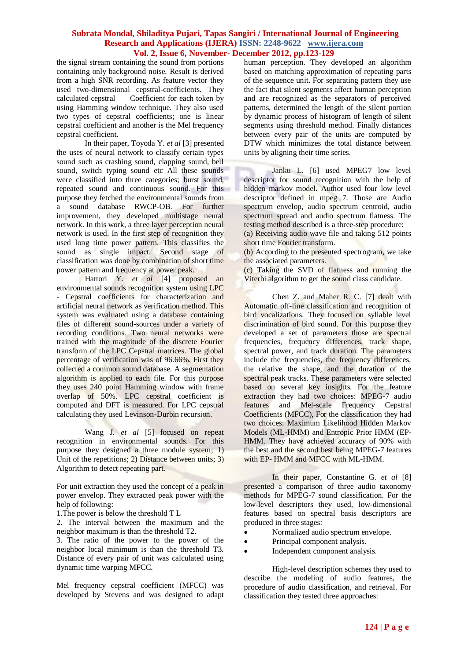the signal stream containing the sound from portions containing only background noise. Result is derived from a high SNR recording. As feature vector they used two-dimensional cepstral-coefficients. They<br>calculated cepstral Coefficient for each token by Coefficient for each token by using Hamming window technique. They also used two types of cepstral coefficients; one is linear cepstral coefficient and another is the Mel frequency cepstral coefficient.

In their paper, Toyoda Y. *et al* [3] presented the uses of neural network to classify certain types sound such as crashing sound, clapping sound, bell sound, switch typing sound etc All these sounds were classified into three categories; burst sound, repeated sound and continuous sound. For this purpose they fetched the environmental sounds from a sound database RWCP-OB. For further improvement, they developed multistage neural network. In this work, a three layer perception neural network is used. In the first step of recognition they used long time power pattern. This classifies the sound as single impact. Second stage of classification was done by combination of short time power pattern and frequency at power peak.

Hattori Y. *et al* [4] proposed an environmental sounds recognition system using LPC - Cepstral coefficients for characterization and artificial neural network as verification method. This system was evaluated using a database containing files of different sound-sources under a variety of recording conditions. Two neural networks were trained with the magnitude of the discrete Fourier transform of the LPC Cepstral matrices. The global percentage of verification was of 96.66%. First they collected a common sound database. A segmentation algorithm is applied to each file. For this purpose they uses 240 point Hamming window with frame overlap of 50%. LPC cepstral coefficient is computed and DFT is measured. For LPC cepstral calculating they used Levinson-Durbin recursion.

Wang J. *et al* [5] focused on repeat recognition in environmental sounds. For this purpose they designed a three module system; 1) Unit of the repetitions; 2) Distance between units; 3) Algorithm to detect repeating part.

For unit extraction they used the concept of a peak in power envelop. They extracted peak power with the help of following:

1.The power is below the threshold T L

2. The interval between the maximum and the neighbor maximum is than the threshold T2.

3. The ratio of the power to the power of the neighbor local minimum is than the threshold T3. Distance of every pair of unit was calculated using dynamic time warping MFCC.

Mel frequency cepstral coefficient (MFCC) was developed by Stevens and was designed to adapt human perception. They developed an algorithm based on matching approximation of repeating parts of the sequence unit. For separating pattern they use the fact that silent segments affect human perception and are recognized as the separators of perceived patterns, determined the length of the silent portion by dynamic process of histogram of length of silent segments using threshold method. Finally distances between every pair of the units are computed by DTW which minimizes the total distance between units by aligning their time series.

Janku L. [6] used MPEG7 low level descriptor for sound recognition with the help of hidden markov model. Author used four low level descriptor defined in mpeg 7. Those are Audio spectrum envelop, audio spectrum centroid, audio spectrum spread and audio spectrum flatness. The testing method described is a three-step procedure:

(a) Receiving audio wave file and taking 512 points short time Fourier transform.

(b) According to the presented spectrogram, we take the associated parameters.

(c) Taking the SVD of flatness and running the Viterbi algorithm to get the sound class candidate.

Chen Z. and Maher R. C. [7] dealt with Automatic off-line classification and recognition of bird vocalizations. They focused on syllable level discrimination of bird sound. For this purpose they developed a set of parameters those are spectral frequencies, frequency differences, track shape, spectral power, and track duration. The parameters include the frequencies, the frequency differences, the relative the shape, and the duration of the spectral peak tracks. These parameters were selected based on several key insights. For the feature extraction they had two choices: MPEG-7 audio features and Mel-scale Frequency Cepstral Coefficients (MFCC), For the classification they had two choices: Maximum Likelihood Hidden Markov Models (ML-HMM) and Entropic Prior HMM (EP-HMM. They have achieved accuracy of 90% with the best and the second best being MPEG-7 features with EP- HMM and MFCC with ML-HMM.

In their paper, Constantine G. *et al* [8] presented a comparison of three audio taxonomy methods for MPEG-7 sound classification. For the low-level descriptors they used, low-dimensional features based on spectral basis descriptors are produced in three stages:

- Normalized audio spectrum envelope.
- Principal component analysis.
- Independent component analysis.

High-level description schemes they used to describe the modeling of audio features, the procedure of audio classification, and retrieval. For classification they tested three approaches: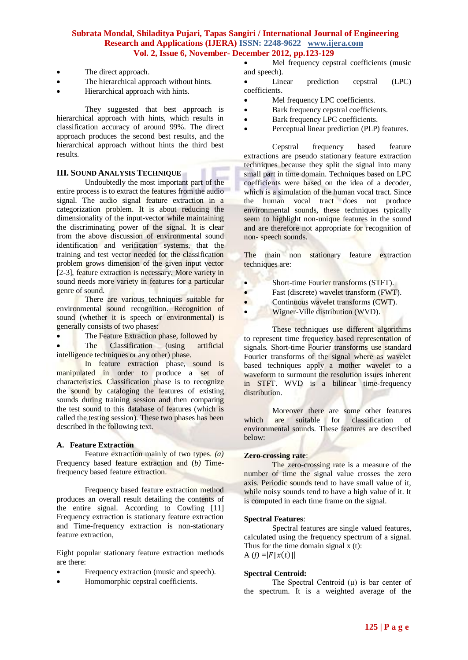- The direct approach.
- The hierarchical approach without hints.
- Hierarchical approach with hints.

They suggested that best approach is hierarchical approach with hints, which results in classification accuracy of around 99%. The direct approach produces the second best results, and the hierarchical approach without hints the third best results.

# **III. SOUND ANALYSIS TECHNIQUE**

Undoubtedly the most important part of the entire process is to extract the features from the audio signal. The audio signal feature extraction in a categorization problem. It is about reducing the dimensionality of the input-vector while maintaining the discriminating power of the signal. It is clear from the above discussion of environmental sound identification and verification systems, that the training and test vector needed for the classification problem grows dimension of the given input vector [2-3], feature extraction is necessary. More variety in sound needs more variety in features for a particular genre of sound.

There are various techniques suitable for environmental sound recognition. Recognition of sound (whether it is speech or environmental) is generally consists of two phases:

• The Feature Extraction phase, followed by

The Classification (using artificial intelligence techniques or any other) phase.

In feature extraction phase, sound is manipulated in order to produce a set of characteristics. Classification phase is to recognize the sound by cataloging the features of existing sounds during training session and then comparing the test sound to this database of features (which is called the testing session). These two phases has been described in the following text.

#### **A. Feature Extraction**

Feature extraction mainly of two types. *(a)* Frequency based feature extraction and (*b)* Timefrequency based feature extraction.

Frequency based feature extraction method produces an overall result detailing the contents of the entire signal. According to Cowling [11] Frequency extraction is stationary feature extraction and Time-frequency extraction is non-stationary feature extraction,

Eight popular stationary feature extraction methods are there:

- Frequency extraction (music and speech).
- Homomorphic cepstral coefficients.

 Mel frequency cepstral coefficients (music and speech).

• Linear prediction cepstral (LPC) coefficients.

- Mel frequency LPC coefficients.
- Bark frequency cepstral coefficients.
- Bark frequency LPC coefficients.
- Perceptual linear prediction (PLP) features.

Cepstral frequency based feature extractions are pseudo stationary feature extraction techniques because they split the signal into many small part in time domain. Techniques based on LPC coefficients were based on the idea of a decoder, which is a simulation of the human vocal tract. Since the human vocal tract does not produce environmental sounds, these techniques typically seem to highlight non-unique features in the sound and are therefore not appropriate for recognition of non- speech sounds.

The main non stationary feature extraction techniques are:

- Short-time Fourier transforms (STFT).
- Fast (discrete) wavelet transform (FWT).
- Continuous wavelet transforms (CWT).
- Wigner-Ville distribution (WVD).

These techniques use different algorithms to represent time frequency based representation of signals. Short-time Fourier transforms use standard Fourier transforms of the signal where as wavelet based techniques apply a mother wavelet to a waveform to surmount the resolution issues inherent in STFT. WVD is a bilinear time-frequency distribution.

Moreover there are some other features which are suitable for classification of environmental sounds. These features are described below:

#### **Zero-crossing rate**:

The zero-crossing rate is a measure of the number of time the signal value crosses the zero axis. Periodic sounds tend to have small value of it, while noisy sounds tend to have a high value of it. It is computed in each time frame on the signal.

#### **Spectral Features**:

Spectral features are single valued features, calculated using the frequency spectrum of a signal. Thus for the time domain signal x (t): A  $(f) = |F[x(t)]|$ 

# **Spectral Centroid:**

The Spectral Centroid  $(\mu)$  is bar center of the spectrum. It is a weighted average of the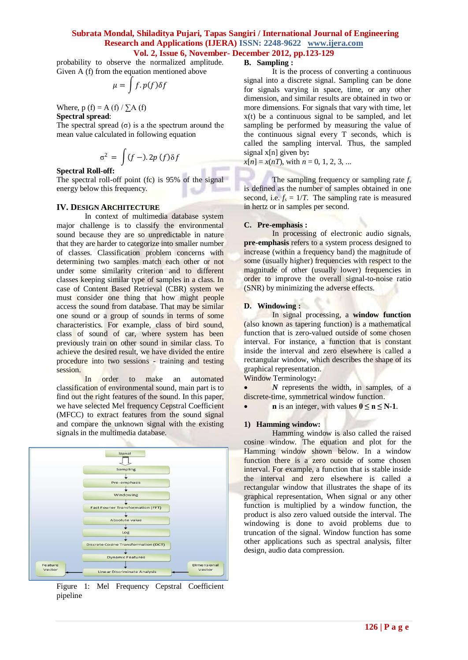probability to observe the normalized amplitude. Given A (f) from the equation mentioned above

$$
\mu = \int f \cdot p(f) \delta f
$$

Where,  $p(f) = A(f) / \sum A(f)$ **Spectral spread**:

The spectral spread  $(\sigma)$  is a the spectrum around the mean value calculated in following equation

$$
\sigma^2 = \int (f - ).2p (f) \delta f
$$

# **Spectral Roll-off:**

The spectral roll-off point (fc) is 95% of the signal energy below this frequency.

#### **IV. DESIGN ARCHITECTURE**

In context of multimedia database system major challenge is to classify the environmental sound because they are so unpredictable in nature that they are harder to categorize into smaller number of classes. Classification problem concerns with determining two samples match each other or not under some similarity criterion and to different classes keeping similar type of samples in a class. In case of Content Based Retrieval (CBR) system we must consider one thing that how might people access the sound from database. That may be similar one sound or a group of sounds in terms of some characteristics. For example, class of bird sound, class of sound of car, where system has been previously train on other sound in similar class. To achieve the desired result, we have divided the entire procedure into two sessions - training and testing session.

In order to make an automated classification of environmental sound, main part is to find out the right features of the sound. In this paper, we have selected Mel frequency Cepstral Coefficient (MFCC) to extract features from the sound signal and compare the unknown signal with the existing signals in the multimedia database.



Figure 1: Mel Frequency Cepstral Coefficient pipeline

#### **B. Sampling :**

It is the process of converting a continuous signal into a discrete signal. Sampling can be done for signals varying in space, time, or any other dimension, and similar results are obtained in two or more dimensions. For signals that vary with time, let x(t) be a continuous signal to be sampled, and let sampling be performed by measuring the value of the continuous signal every T seconds, which is called the sampling interval. Thus, the sampled signal x[n] given by**:**

 $x[n] = x(nT)$ , with  $n = 0, 1, 2, 3, ...$ 

The sampling frequency or sampling rate *f<sup>s</sup>* is defined as the number of samples obtained in one second, i.e.  $f_s = 1/T$ . The sampling rate is measured in hertz or in samples per second.

#### **C. Pre-emphasis :**

In processing of electronic audio signals, **pre-emphasis** refers to a system process designed to increase (within a frequency band) the magnitude of some (usually higher) frequencies with respect to the magnitude of other (usually lower) frequencies in order to improve the overall signal-to-noise ratio (SNR) by minimizing the adverse effects.

#### **D. Windowing :**

In signal processing, a **window function** (also known as tapering function) is a mathematical function that is zero-valued outside of some chosen interval. For instance, a function that is constant inside the interval and zero elsewhere is called a rectangular window, which describes the shape of its graphical representation.

Window Terminology**:**

 *N* represents the width, in samples, of a discrete-time, symmetrical window function.

**n** is an integer, with values  $0 \le n \le N-1$ .

#### **1) Hamming window:**

Hamming window is also called the raised cosine window. The equation and plot for the Hamming window shown below. In a window function there is a zero outside of some chosen interval. For example, a function that is stable inside the interval and zero elsewhere is called a rectangular window that illustrates the shape of its graphical representation, When signal or any other function is multiplied by a window function, the product is also zero valued outside the interval. The windowing is done to avoid problems due to truncation of the signal. Window function has some other applications such as spectral analysis, filter design, audio data compression.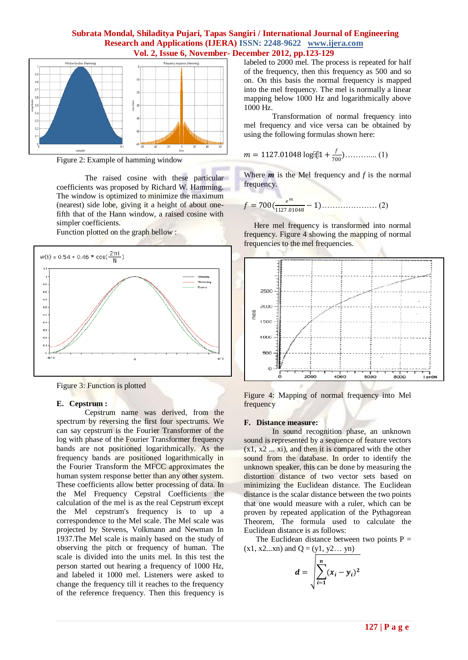

Figure 2: Example of hamming window

The raised cosine with these particular coefficients was proposed by Richard W. Hamming. The window is optimized to minimize the maximum (nearest) side lobe, giving it a height of about onefifth that of the Hann window, a raised cosine with simpler coefficients.

Function plotted on the graph bellow :



Figure 3: Function is plotted

#### **E. Cepstrum :**

Cepstrum name was derived, from the spectrum by reversing the first four spectrums. We can say cepstrum is the Fourier Transformer of the log with phase of the Fourier Transformer frequency bands are not positioned logarithmically. As the frequency bands are positioned logarithmically in the Fourier Transform the MFCC approximates the human system response better than any other system. These coefficients allow better processing of data. In the Mel Frequency Cepstral Coefficients the calculation of the mel is as the real Cepstrum except the Mel cepstrum's frequency is to up a correspondence to the Mel scale. The Mel scale was projected by Stevens, Volkmann and Newman In 1937.The Mel scale is mainly based on the study of observing the pitch or frequency of human. The scale is divided into the units mel. In this test the person started out hearing a frequency of 1000 Hz, and labeled it 1000 mel. Listeners were asked to change the frequency till it reaches to the frequency of the reference frequency. Then this frequency is

labeled to 2000 mel. The process is repeated for half of the frequency, then this frequency as 500 and so on. On this basis the normal frequency is mapped into the mel frequency. The mel is normally a linear mapping below 1000 Hz and logarithmically above 1000 Hz.

Transformation of normal frequency into mel frequency and vice versa can be obtained by using the following formulas shown here:

$$
m = 1127.01048 \log [21 + \frac{f}{700}) \dots \dots \dots \dots (1)
$$

Where *m* is the Mel frequency and *f* is the normal frequency.

$$
f = 700 \left( \frac{e^m}{1127.01048} - 1 \right) \dots \dots \dots \dots \dots \dots \dots \dots \dots \tag{2}
$$

 Here mel frequency is transformed into normal frequency. Figure 4 showing the mapping of normal frequencies to the mel frequencies.



Figure 4: Mapping of normal frequency into Mel frequency

#### **F. Distance measure:**

In sound recognition phase, an unknown sound is represented by a sequence of feature vectors  $(x1, x2... xi)$ , and then it is compared with the other sound from the database. In order to identify the unknown speaker, this can be done by measuring the distortion distance of two vector sets based on minimizing the Euclidean distance. The Euclidean distance is the scalar distance between the two points that one would measure with a ruler, which can be proven by repeated application of the Pythagorean Theorem, The formula used to calculate the Euclidean distance is as follows:

The Euclidean distance between two points  $P =$  $(x1, x2...xn)$  and  $Q = (y1, y2... yn)$ 

$$
d = \sqrt{\sum_{i=1}^{n} (x_i - y_i)^2}
$$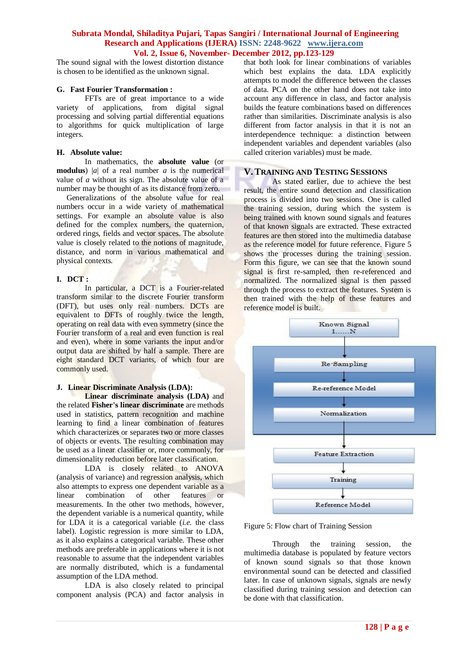The sound signal with the lowest distortion distance is chosen to be identified as the unknown signal.

#### **G. Fast Fourier Transformation :**

FFTs are of great importance to a wide variety of applications, from digital signal processing and solving partial differential equations to algorithms for quick multiplication of large integers.

#### **H. Absolute value:**

In mathematics, the **absolute value** (or **modulus**) |*a*| of a real number *a* is the numerical value of *a* without its sign. The absolute value of a number may be thought of as its distance from zero.

 Generalizations of the absolute value for real numbers occur in a wide variety of mathematical settings. For example an absolute value is also defined for the complex numbers, the quaternion, ordered rings, fields and vector spaces. The absolute value is closely related to the notions of magnitude, distance, and norm in various mathematical and physical contexts.

#### **I. DCT :**

In particular, a DCT is a Fourier-related transform similar to the discrete Fourier transform (DFT), but uses only real numbers. DCTs are equivalent to DFTs of roughly twice the length, operating on real data with even symmetry (since the Fourier transform of a real and even function is real and even), where in some variants the input and/or output data are shifted by half a sample. There are eight standard DCT variants, of which four are commonly used.

# **J. Linear Discriminate Analysis (LDA):**

**Linear discriminate analysis (LDA)** and the related **Fisher's linear discriminate** are methods used in statistics, pattern recognition and machine learning to find a linear combination of features which characterizes or separates two or more classes of objects or events. The resulting combination may be used as a linear classifier or, more commonly, for dimensionality reduction before later classification.

LDA is closely related to ANOVA (analysis of variance) and regression analysis, which also attempts to express one dependent variable as a linear combination of other features or measurements. In the other two methods, however, the dependent variable is a numerical quantity, while for LDA it is a categorical variable (*i.e.* the class label). Logistic regression is more similar to LDA, as it also explains a categorical variable. These other methods are preferable in applications where it is not reasonable to assume that the independent variables are normally distributed, which is a fundamental assumption of the LDA method.

LDA is also closely related to principal component analysis (PCA) and factor analysis in

that both look for linear combinations of variables which best explains the data. LDA explicitly attempts to model the difference between the classes of data. PCA on the other hand does not take into account any difference in class, and factor analysis builds the feature combinations based on differences rather than similarities. Discriminate analysis is also different from factor analysis in that it is not an interdependence technique: a distinction between independent variables and dependent variables (also called criterion variables) must be made.

# **V.TRAINING AND TESTING SESSIONS**

As stated earlier, due to achieve the best result, the entire sound detection and classification process is divided into two sessions. One is called the training session, during which the system is being trained with known sound signals and features of that known signals are extracted. These extracted features are then stored into the multimedia database as the reference model for future reference. Figure 5 shows the processes during the training session. Form this figure, we can see that the known sound signal is first re-sampled, then re-referenced and normalized. The normalized signal is then passed through the process to extract the features. System is then trained with the help of these features and reference model is built.



Figure 5: Flow chart of Training Session

Through the training session, the multimedia database is populated by feature vectors of known sound signals so that those known environmental sound can be detected and classified later. In case of unknown signals, signals are newly classified during training session and detection can be done with that classification.